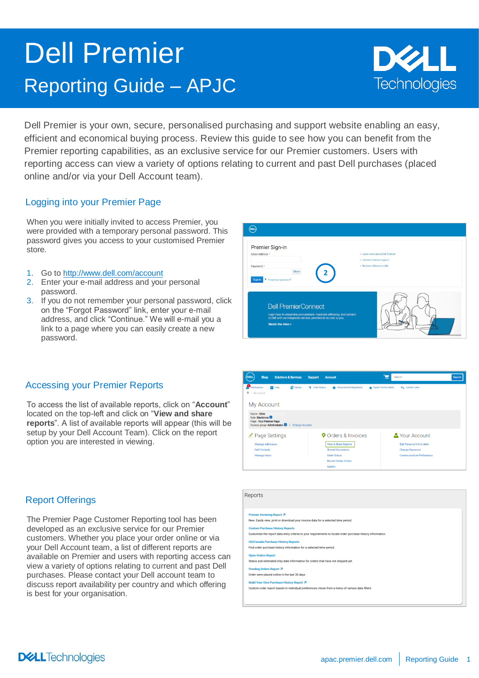# Dell Premier Reporting Guide – APJC



Dell Premier is your own, secure, personalised purchasing and support website enabling an easy, efficient and economical buying process. Review this guide to see how you can benefit from the Premier reporting capabilities, as an exclusive service for our Premier customers. Users with reporting access can view a variety of options relating to current and past Dell purchases (placed online and/or via your Dell Account team).

Reporte

## Logging into your Premier Page

When you were initially invited to access Premier, you were provided with a temporary personal password. This password gives you access to your customised Premier store.

- 1. Go to <http://www.dell.com/account>
- 2. Enter your e-mail address and your personal password.
- 3. If you do not remember your personal password, click on the "Forgot Password" link, enter your e-mail address, and click "Continue." We will e-mail you a link to a page where you can easily create a new password.



### Accessing your Premier Reports

To access the list of available reports, click on "**Account**" located on the top-left and click on "**View and share reports**". A list of available reports will appear (this will be setup by your Dell Account Team). Click on the report option you are interested in viewing.

## Report Offerings

The Premier Page Customer Reporting tool has been developed as an exclusive service for our Premier customers. Whether you place your order online or via your Dell Account team, a list of different reports are available on Premier and users with reporting access can view a variety of options relating to current and past Dell purchases. Please contact your Dell account team to discuss report availability per country and which offering is best for your organisation.



| i                                                                                                                                                     |
|-------------------------------------------------------------------------------------------------------------------------------------------------------|
| <b>Premier Invoicing Report 7</b><br>New. Easily view, print or download your invoice data for a selected time period.                                |
| <b>Custom Purchase History Reports</b><br>Customise the report data entry criteria to your requirements to locate order purchase history information. |
| <b>US/Canada Purchase History Reports</b><br>Find order purchase history information for a selected time period                                       |
| <b>Open Orders Report</b><br>Status and estimated ship date information for orders that have not shipped vet.                                         |
| <b>Pending Orders Report 7</b><br>Order were placed online in the last 30 days                                                                        |
| <b>Build Your Own Purchase History Report 7</b><br>Custom order report based on individual preferences chose from a menu of various data filters      |
|                                                                                                                                                       |

**DELL**Technologies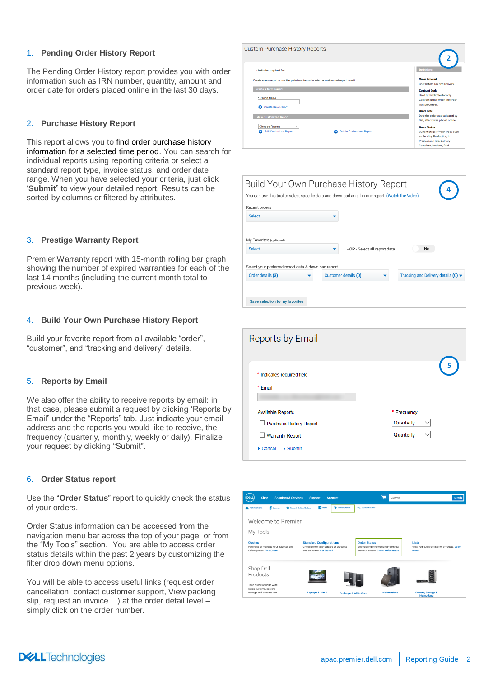#### 1. **Pending Order History Report**

The Pending Order History report provides you with order information such as IRN number, quantity, amount and order date for orders placed online in the last 30 days.

#### 2. **Purchase History Report**

This report allows you to find order purchase history information for a selected time period. You can search for individual reports using reporting criteria or select a standard report type, invoice status, and order date range. When you have selected your criteria, just click '**Submit**" to view your detailed report. Results can be sorted by columns or filtered by attributes.

#### 3. **Prestige Warranty Report**

Premier Warranty report with 15-month rolling bar graph showing the number of expired warranties for each of the last 14 months (including the current month total to previous week).

#### 4. **Build Your Own Purchase History Report**

Build your favorite report from all available "order", "customer", and "tracking and delivery" details.

#### 5. **Reports by Email**

We also offer the ability to receive reports by email: in that case, please submit a request by clicking 'Reports by Email" under the "Reports" tab. Just indicate your email address and the reports you would like to receive, the frequency (quarterly, monthly, weekly or daily). Finalize your request by clicking "Submit".

#### 6. **Order Status report**

Use the "**Order Status**" report to quickly check the status of your orders.

Order Status information can be accessed from the navigation menu bar across the top of your page or from the "My Tools" section. You are able to access order status details within the past 2 years by customizing the filter drop down menu options.

You will be able to access useful links (request order cancellation, contact customer support, View packing slip, request an invoice....) at the order detail level – simply click on the order number.

| Custom Purchase History Reports                                                       |                                                                                                                        |
|---------------------------------------------------------------------------------------|------------------------------------------------------------------------------------------------------------------------|
| * Indicates required field                                                            | <b>Definitions</b>                                                                                                     |
| Create a new report or use the pull-down below to select a customized report to edit. | <b>Order Amount</b><br>Cost before Tax and Delivery.                                                                   |
| <b>Create a New Report</b>                                                            | <b>Contract Code</b>                                                                                                   |
| * Report Name<br><b>Create New Report</b><br>o                                        | Used by Public Sector only.<br>Contract under which the order<br>was purchased.                                        |
|                                                                                       | <b>Order Date</b>                                                                                                      |
| <b>Edit a Customized Report</b>                                                       | Date the order was validated by<br>Dell, after it was placed online.                                                   |
| <b>Choose Report</b><br>$\checkmark$                                                  | <b>Order Status</b>                                                                                                    |
| <b>Edit Customized Report</b><br><b>Delete Customized Report</b>                      | Current stage of your order, such<br>as Pending Production, In<br>Production, Hold, Delivery<br>Complete Invoiced Paid |

| Recent orders<br><b>Select</b><br>My Favorites (optional)<br><b>Select</b>                                 |                               |                                                           |
|------------------------------------------------------------------------------------------------------------|-------------------------------|-----------------------------------------------------------|
|                                                                                                            |                               |                                                           |
|                                                                                                            |                               |                                                           |
|                                                                                                            |                               |                                                           |
|                                                                                                            | - OR - Select all report data | No                                                        |
| Select your preferred report data & download report<br>Order details (3)<br>Save selection to my favorites | Customer details (0)          | Tracking and Delivery details $(0)$ $\blacktriangleright$ |

| Reports by Email                                   |             |
|----------------------------------------------------|-------------|
| * Indicates required field                         | 5           |
| * Email                                            |             |
| <b>Available Reports</b>                           | * Frequency |
| Purchase History Report                            | Quarterly   |
| <b>Warranty Report</b>                             | Quarterly   |
| $\triangleright$ Cancel<br>$\triangleright$ Submit |             |

| DELL<br><b>Shop</b><br><b>Solutions &amp; Services</b>                            | <b>Account</b><br><b>Support</b>                                                                     | Search<br>▭                                                                                       | Search                                                              |
|-----------------------------------------------------------------------------------|------------------------------------------------------------------------------------------------------|---------------------------------------------------------------------------------------------------|---------------------------------------------------------------------|
| Notifications<br><b>El</b> Quotes<br><b>*</b> Recent Online Orders                | <b>Ve Order Status</b><br>$\vert$ Help                                                               | <b><i><u>Ca.</u></i></b> Custom Links                                                             |                                                                     |
| Welcome to Premier                                                                |                                                                                                      |                                                                                                   |                                                                     |
| My Tools                                                                          |                                                                                                      |                                                                                                   |                                                                     |
| <b>Quotes</b><br>Purchase or manage your eQuotes and<br>Sales Quotes. Find Quote  | <b>Standard Configurations</b><br>Choose from your catalog of products<br>and solutions. Get Started | <b>Order Status</b><br>Get tracking information and review<br>previous orders. Check order status | <b>Lists</b><br>View your Lists of favorite products. Learn<br>more |
| Shop Dell<br>Products                                                             |                                                                                                      |                                                                                                   |                                                                     |
| Take a look at Dell's wide<br>range systems, servers,<br>storage and accessories. | Laptops & 2-in-1                                                                                     | <b>Workstations</b><br><b>Desktops &amp; All-in-Ones</b>                                          | Servers, Storage &<br><b>Networking</b>                             |